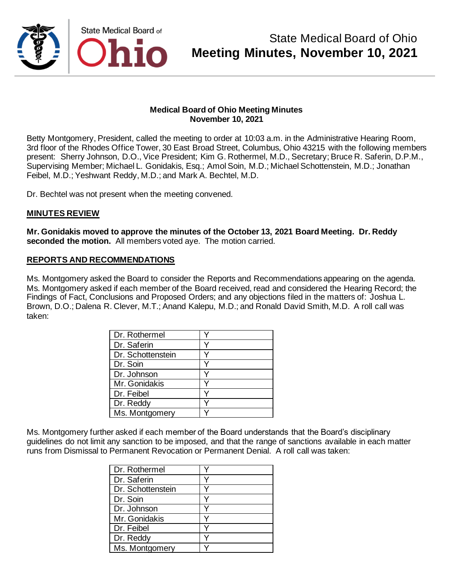

Betty Montgomery, President, called the meeting to order at 10:03 a.m. in the Administrative Hearing Room, 3rd floor of the Rhodes Office Tower, 30 East Broad Street, Columbus, Ohio 43215 with the following members present: Sherry Johnson, D.O., Vice President; Kim G. Rothermel, M.D., Secretary; Bruce R. Saferin, D.P.M., Supervising Member; Michael L. Gonidakis, Esq.; Amol Soin, M.D.; Michael Schottenstein, M.D.; Jonathan Feibel, M.D.; Yeshwant Reddy, M.D.; and Mark A. Bechtel, M.D.

Dr. Bechtel was not present when the meeting convened.

#### **MINUTES REVIEW**

**Mr. Gonidakis moved to approve the minutes of the October 13, 2021 Board Meeting. Dr. Reddy seconded the motion.** All members voted aye. The motion carried.

#### **REPORTS AND RECOMMENDATIONS**

Ms. Montgomery asked the Board to consider the Reports and Recommendations appearing on the agenda. Ms. Montgomery asked if each member of the Board received, read and considered the Hearing Record; the Findings of Fact, Conclusions and Proposed Orders; and any objections filed in the matters of: Joshua L. Brown, D.O.; Dalena R. Clever, M.T.; Anand Kalepu, M.D.; and Ronald David Smith, M.D. A roll call was taken:

| Dr. Rothermel     |  |
|-------------------|--|
| Dr. Saferin       |  |
| Dr. Schottenstein |  |
| Dr. Soin          |  |
| Dr. Johnson       |  |
| Mr. Gonidakis     |  |
| Dr. Feibel        |  |
| Dr. Reddy         |  |
| Ms. Montgomery    |  |

Ms. Montgomery further asked if each member of the Board understands that the Board's disciplinary guidelines do not limit any sanction to be imposed, and that the range of sanctions available in each matter runs from Dismissal to Permanent Revocation or Permanent Denial. A roll call was taken:

| Dr. Rothermel     |  |
|-------------------|--|
| Dr. Saferin       |  |
| Dr. Schottenstein |  |
| Dr. Soin          |  |
| Dr. Johnson       |  |
| Mr. Gonidakis     |  |
| Dr. Feibel        |  |
| Dr. Reddy         |  |
| Ms. Montgomery    |  |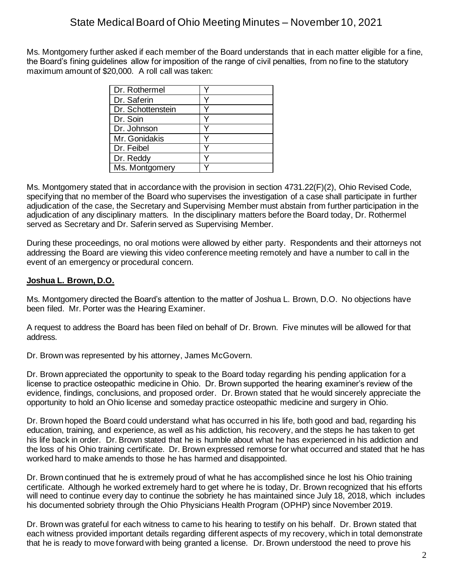Ms. Montgomery further asked if each member of the Board understands that in each matter eligible for a fine, the Board's fining guidelines allow for imposition of the range of civil penalties, from no fine to the statutory maximum amount of \$20,000. A roll call was taken:

| Dr. Rothermel     |  |
|-------------------|--|
| Dr. Saferin       |  |
| Dr. Schottenstein |  |
| Dr. Soin          |  |
| Dr. Johnson       |  |
| Mr. Gonidakis     |  |
| Dr. Feibel        |  |
| Dr. Reddy         |  |
| Ms. Montgomery    |  |

Ms. Montgomery stated that in accordance with the provision in section 4731.22(F)(2), Ohio Revised Code, specifying that no member of the Board who supervises the investigation of a case shall participate in further adjudication of the case, the Secretary and Supervising Member must abstain from further participation in the adjudication of any disciplinary matters. In the disciplinary matters before the Board today, Dr. Rothermel served as Secretary and Dr. Saferin served as Supervising Member.

During these proceedings, no oral motions were allowed by either party. Respondents and their attorneys not addressing the Board are viewing this video conference meeting remotely and have a number to call in the event of an emergency or procedural concern.

## **Joshua L. Brown, D.O.**

Ms. Montgomery directed the Board's attention to the matter of Joshua L. Brown, D.O. No objections have been filed. Mr. Porter was the Hearing Examiner.

A request to address the Board has been filed on behalf of Dr. Brown. Five minutes will be allowed for that address.

Dr. Brown was represented by his attorney, James McGovern.

Dr. Brown appreciated the opportunity to speak to the Board today regarding his pending application for a license to practice osteopathic medicine in Ohio. Dr. Brown supported the hearing examiner's review of the evidence, findings, conclusions, and proposed order. Dr. Brown stated that he would sincerely appreciate the opportunity to hold an Ohio license and someday practice osteopathic medicine and surgery in Ohio.

Dr. Brown hoped the Board could understand what has occurred in his life, both good and bad, regarding his education, training, and experience, as well as his addiction, his recovery, and the steps he has taken to get his life back in order. Dr. Brown stated that he is humble about what he has experienced in his addiction and the loss of his Ohio training certificate. Dr. Brown expressed remorse for what occurred and stated that he has worked hard to make amends to those he has harmed and disappointed.

Dr. Brown continued that he is extremely proud of what he has accomplished since he lost his Ohio training certificate. Although he worked extremely hard to get where he is today, Dr. Brown recognized that his efforts will need to continue every day to continue the sobriety he has maintained since July 18, 2018, which includes his documented sobriety through the Ohio Physicians Health Program (OPHP) since November 2019.

Dr. Brown was grateful for each witness to came to his hearing to testify on his behalf. Dr. Brown stated that each witness provided important details regarding different aspects of my recovery, which in total demonstrate that he is ready to move forward with being granted a license. Dr. Brown understood the need to prove his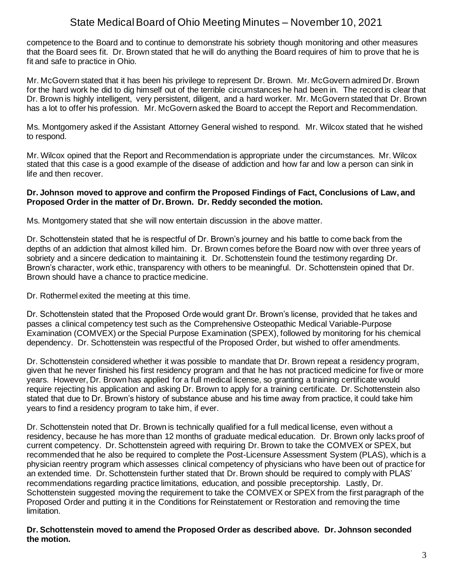competence to the Board and to continue to demonstrate his sobriety though monitoring and other measures that the Board sees fit. Dr. Brown stated that he will do anything the Board requires of him to prove that he is fit and safe to practice in Ohio.

Mr. McGovern stated that it has been his privilege to represent Dr. Brown. Mr. McGovern admired Dr. Brown for the hard work he did to dig himself out of the terrible circumstances he had been in. The record is clear that Dr. Brown is highly intelligent, very persistent, diligent, and a hard worker. Mr. McGovern stated that Dr. Brown has a lot to offer his profession. Mr. McGovern asked the Board to accept the Report and Recommendation.

Ms. Montgomery asked if the Assistant Attorney General wished to respond. Mr. Wilcox stated that he wished to respond.

Mr. Wilcox opined that the Report and Recommendation is appropriate under the circumstances. Mr. Wilcox stated that this case is a good example of the disease of addiction and how far and low a person can sink in life and then recover.

#### **Dr. Johnson moved to approve and confirm the Proposed Findings of Fact, Conclusions of Law, and Proposed Order in the matter of Dr. Brown. Dr. Reddy seconded the motion.**

Ms. Montgomery stated that she will now entertain discussion in the above matter.

Dr. Schottenstein stated that he is respectful of Dr. Brown's journey and his battle to come back from the depths of an addiction that almost killed him. Dr. Brown comes before the Board now with over three years of sobriety and a sincere dedication to maintaining it. Dr. Schottenstein found the testimony regarding Dr. Brown's character, work ethic, transparency with others to be meaningful. Dr. Schottenstein opined that Dr. Brown should have a chance to practice medicine.

Dr. Rothermel exited the meeting at this time.

Dr. Schottenstein stated that the Proposed Orde would grant Dr. Brown's license, provided that he takes and passes a clinical competency test such as the Comprehensive Osteopathic Medical Variable-Purpose Examination (COMVEX) or the Special Purpose Examination (SPEX), followed by monitoring for his chemical dependency. Dr. Schottenstein was respectful of the Proposed Order, but wished to offer amendments.

Dr. Schottenstein considered whether it was possible to mandate that Dr. Brown repeat a residency program, given that he never finished his first residency program and that he has not practiced medicine for five or more years. However, Dr. Brown has applied for a full medical license, so granting a training certificate would require rejecting his application and asking Dr. Brown to apply for a training certificate. Dr. Schottenstein also stated that due to Dr. Brown's history of substance abuse and his time away from practice, it could take him years to find a residency program to take him, if ever.

Dr. Schottenstein noted that Dr. Brown is technically qualified for a full medical license, even without a residency, because he has more than 12 months of graduate medical education. Dr. Brown only lacks proof of current competency. Dr. Schottenstein agreed with requiring Dr. Brown to take the COMVEX or SPEX, but recommended that he also be required to complete the Post-Licensure Assessment System (PLAS), which is a physician reentry program which assesses clinical competency of physicians who have been out of practice for an extended time. Dr. Schottenstein further stated that Dr. Brown should be required to comply with PLAS' recommendations regarding practice limitations, education, and possible preceptorship. Lastly, Dr. Schottenstein suggested moving the requirement to take the COMVEX or SPEX from the first paragraph of the Proposed Order and putting it in the Conditions for Reinstatement or Restoration and removing the time limitation.

#### **Dr. Schottenstein moved to amend the Proposed Order as described above. Dr. Johnson seconded the motion.**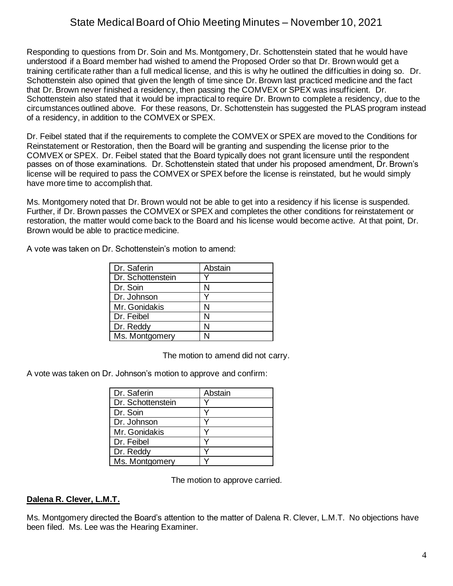Responding to questions from Dr. Soin and Ms. Montgomery, Dr. Schottenstein stated that he would have understood if a Board member had wished to amend the Proposed Order so that Dr. Brown would get a training certificate rather than a full medical license, and this is why he outlined the difficulties in doing so. Dr. Schottenstein also opined that given the length of time since Dr. Brown last practiced medicine and the fact that Dr. Brown never finished a residency, then passing the COMVEX or SPEX was insufficient. Dr. Schottenstein also stated that it would be impractical to require Dr. Brown to complete a residency, due to the circumstances outlined above. For these reasons, Dr. Schottenstein has suggested the PLAS program instead of a residency, in addition to the COMVEX or SPEX.

Dr. Feibel stated that if the requirements to complete the COMVEX or SPEX are moved to the Conditions for Reinstatement or Restoration, then the Board will be granting and suspending the license prior to the COMVEX or SPEX. Dr. Feibel stated that the Board typically does not grant licensure until the respondent passes on of those examinations. Dr. Schottenstein stated that under his proposed amendment, Dr. Brown's license will be required to pass the COMVEX or SPEX before the license is reinstated, but he would simply have more time to accomplish that.

Ms. Montgomery noted that Dr. Brown would not be able to get into a residency if his license is suspended. Further, if Dr. Brown passes the COMVEX or SPEX and completes the other conditions for reinstatement or restoration, the matter would come back to the Board and his license would become active. At that point, Dr. Brown would be able to practice medicine.

|  |  | A vote was taken on Dr. Schottenstein's motion to amend: |  |
|--|--|----------------------------------------------------------|--|
|  |  |                                                          |  |

| Dr. Saferin       | Abstain |
|-------------------|---------|
| Dr. Schottenstein |         |
| Dr. Soin          | N       |
| Dr. Johnson       |         |
| Mr. Gonidakis     | N       |
| Dr. Feibel        | N       |
| Dr. Reddy         | N       |
| Ms. Montgomery    |         |

The motion to amend did not carry.

A vote was taken on Dr. Johnson's motion to approve and confirm:

| Dr. Saferin       | Abstain |
|-------------------|---------|
| Dr. Schottenstein |         |
| Dr. Soin          |         |
| Dr. Johnson       |         |
| Mr. Gonidakis     |         |
| Dr. Feibel        |         |
| Dr. Reddy         |         |
| Ms. Montgomery    |         |

The motion to approve carried.

### **Dalena R. Clever, L.M.T.**

Ms. Montgomery directed the Board's attention to the matter of Dalena R. Clever, L.M.T. No objections have been filed. Ms. Lee was the Hearing Examiner.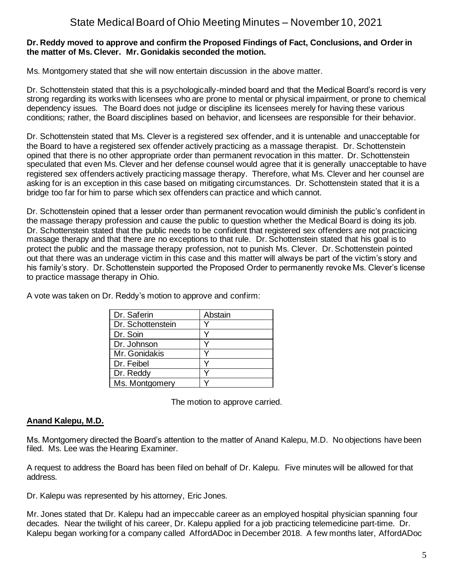#### **Dr. Reddy moved to approve and confirm the Proposed Findings of Fact, Conclusions, and Order in the matter of Ms. Clever. Mr. Gonidakis seconded the motion.**

Ms. Montgomery stated that she will now entertain discussion in the above matter.

Dr. Schottenstein stated that this is a psychologically-minded board and that the Medical Board's record is very strong regarding its works with licensees who are prone to mental or physical impairment, or prone to chemical dependency issues. The Board does not judge or discipline its licensees merely for having these various conditions; rather, the Board disciplines based on behavior, and licensees are responsible for their behavior.

Dr. Schottenstein stated that Ms. Clever is a registered sex offender, and it is untenable and unacceptable for the Board to have a registered sex offender actively practicing as a massage therapist. Dr. Schottenstein opined that there is no other appropriate order than permanent revocation in this matter. Dr. Schottenstein speculated that even Ms. Clever and her defense counsel would agree that it is generally unacceptable to have registered sex offenders actively practicing massage therapy. Therefore, what Ms. Clever and her counsel are asking for is an exception in this case based on mitigating circumstances. Dr. Schottenstein stated that it is a bridge too far for him to parse which sex offenders can practice and which cannot.

Dr. Schottenstein opined that a lesser order than permanent revocation would diminish the public's confident in the massage therapy profession and cause the public to question whether the Medical Board is doing its job. Dr. Schottenstein stated that the public needs to be confident that registered sex offenders are not practicing massage therapy and that there are no exceptions to that rule. Dr. Schottenstein stated that his goal is to protect the public and the massage therapy profession, not to punish Ms. Clever. Dr. Schottenstein pointed out that there was an underage victim in this case and this matter will always be part of the victim's story and his family's story. Dr. Schottenstein supported the Proposed Order to permanently revoke Ms. Clever's license to practice massage therapy in Ohio.

| Dr. Saferin       | Abstain |
|-------------------|---------|
| Dr. Schottenstein |         |
| Dr. Soin          |         |
| Dr. Johnson       |         |
| Mr. Gonidakis     |         |
| Dr. Feibel        |         |
| Dr. Reddy         |         |
| Ms. Montgomery    |         |

A vote was taken on Dr. Reddy's motion to approve and confirm:

The motion to approve carried.

### **Anand Kalepu, M.D.**

Ms. Montgomery directed the Board's attention to the matter of Anand Kalepu, M.D. No objections have been filed. Ms. Lee was the Hearing Examiner.

A request to address the Board has been filed on behalf of Dr. Kalepu. Five minutes will be allowed for that address.

Dr. Kalepu was represented by his attorney, Eric Jones.

Mr. Jones stated that Dr. Kalepu had an impeccable career as an employed hospital physician spanning four decades. Near the twilight of his career, Dr. Kalepu applied for a job practicing telemedicine part-time. Dr. Kalepu began working for a company called AffordADoc in December 2018. A few months later, AffordADoc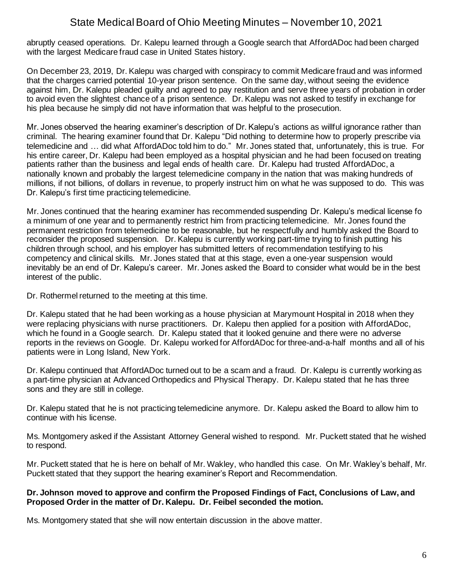abruptly ceased operations. Dr. Kalepu learned through a Google search that AffordADoc had been charged with the largest Medicare fraud case in United States history.

On December 23, 2019, Dr. Kalepu was charged with conspiracy to commit Medicare fraud and was informed that the charges carried potential 10-year prison sentence. On the same day, without seeing the evidence against him, Dr. Kalepu pleaded guilty and agreed to pay restitution and serve three years of probation in order to avoid even the slightest chance of a prison sentence. Dr. Kalepu was not asked to testify in exchange for his plea because he simply did not have information that was helpful to the prosecution.

Mr. Jones observed the hearing examiner's description of Dr. Kalepu's actions as willful ignorance rather than criminal. The hearing examiner found that Dr. Kalepu "Did nothing to determine how to properly prescribe via telemedicine and … did what AffordADoc told him to do." Mr. Jones stated that, unfortunately, this is true. For his entire career, Dr. Kalepu had been employed as a hospital physician and he had been focused on treating patients rather than the business and legal ends of health care. Dr. Kalepu had trusted AffordADoc, a nationally known and probably the largest telemedicine company in the nation that was making hundreds of millions, if not billions, of dollars in revenue, to properly instruct him on what he was supposed to do. This was Dr. Kalepu's first time practicing telemedicine.

Mr. Jones continued that the hearing examiner has recommended suspending Dr. Kalepu's medical license fo a minimum of one year and to permanently restrict him from practicing telemedicine. Mr. Jones found the permanent restriction from telemedicine to be reasonable, but he respectfully and humbly asked the Board to reconsider the proposed suspension. Dr. Kalepu is currently working part-time trying to finish putting his children through school, and his employer has submitted letters of recommendation testifying to his competency and clinical skills. Mr. Jones stated that at this stage, even a one-year suspension would inevitably be an end of Dr. Kalepu's career. Mr. Jones asked the Board to consider what would be in the best interest of the public.

Dr. Rothermel returned to the meeting at this time.

Dr. Kalepu stated that he had been working as a house physician at Marymount Hospital in 2018 when they were replacing physicians with nurse practitioners. Dr. Kalepu then applied for a position with AffordADoc, which he found in a Google search. Dr. Kalepu stated that it looked genuine and there were no adverse reports in the reviews on Google. Dr. Kalepu worked for AffordADoc for three-and-a-half months and all of his patients were in Long Island, New York.

Dr. Kalepu continued that AffordADoc turned out to be a scam and a fraud. Dr. Kalepu is currently working as a part-time physician at Advanced Orthopedics and Physical Therapy. Dr. Kalepu stated that he has three sons and they are still in college.

Dr. Kalepu stated that he is not practicing telemedicine anymore. Dr. Kalepu asked the Board to allow him to continue with his license.

Ms. Montgomery asked if the Assistant Attorney General wished to respond. Mr. Puckett stated that he wished to respond.

Mr. Puckett stated that he is here on behalf of Mr. Wakley, who handled this case. On Mr. Wakley's behalf, Mr. Puckett stated that they support the hearing examiner's Report and Recommendation.

#### **Dr. Johnson moved to approve and confirm the Proposed Findings of Fact, Conclusions of Law, and Proposed Order in the matter of Dr. Kalepu. Dr. Feibel seconded the motion.**

Ms. Montgomery stated that she will now entertain discussion in the above matter.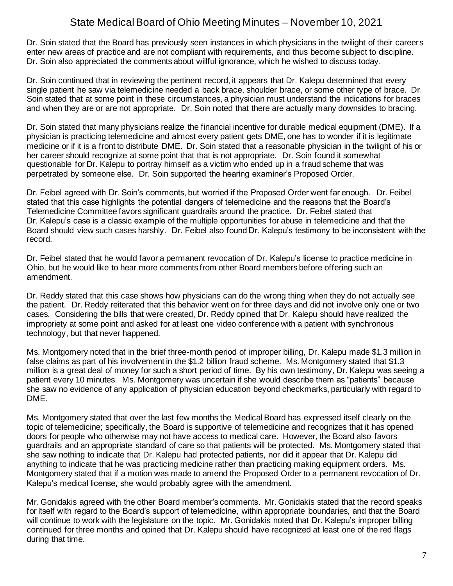Dr. Soin stated that the Board has previously seen instances in which physicians in the twilight of their careers enter new areas of practice and are not compliant with requirements, and thus become subject to discipline. Dr. Soin also appreciated the comments about willful ignorance, which he wished to discuss today.

Dr. Soin continued that in reviewing the pertinent record, it appears that Dr. Kalepu determined that every single patient he saw via telemedicine needed a back brace, shoulder brace, or some other type of brace. Dr. Soin stated that at some point in these circumstances, a physician must understand the indications for braces and when they are or are not appropriate. Dr. Soin noted that there are actually many downsides to bracing.

Dr. Soin stated that many physicians realize the financial incentive for durable medical equipment (DME). If a physician is practicing telemedicine and almost every patient gets DME, one has to wonder if it is legitimate medicine or if it is a front to distribute DME. Dr. Soin stated that a reasonable physician in the twilight of his or her career should recognize at some point that that is not appropriate. Dr. Soin found it somewhat questionable for Dr. Kalepu to portray himself as a victim who ended up in a fraud scheme that was perpetrated by someone else. Dr. Soin supported the hearing examiner's Proposed Order.

Dr. Feibel agreed with Dr. Soin's comments, but worried if the Proposed Order went far enough. Dr. Feibel stated that this case highlights the potential dangers of telemedicine and the reasons that the Board's Telemedicine Committee favors significant guardrails around the practice. Dr. Feibel stated that Dr. Kalepu's case is a classic example of the multiple opportunities for abuse in telemedicine and that the Board should view such cases harshly. Dr. Feibel also found Dr. Kalepu's testimony to be inconsistent with the record.

Dr. Feibel stated that he would favor a permanent revocation of Dr. Kalepu's license to practice medicine in Ohio, but he would like to hear more comments from other Board members before offering such an amendment.

Dr. Reddy stated that this case shows how physicians can do the wrong thing when they do not actually see the patient. Dr. Reddy reiterated that this behavior went on for three days and did not involve only one or two cases. Considering the bills that were created, Dr. Reddy opined that Dr. Kalepu should have realized the impropriety at some point and asked for at least one video conference with a patient with synchronous technology, but that never happened.

Ms. Montgomery noted that in the brief three-month period of improper billing, Dr. Kalepu made \$1.3 million in false claims as part of his involvement in the \$1.2 billion fraud scheme. Ms. Montgomery stated that \$1.3 million is a great deal of money for such a short period of time. By his own testimony, Dr. Kalepu was seeing a patient every 10 minutes. Ms. Montgomery was uncertain if she would describe them as "patients" because she saw no evidence of any application of physician education beyond checkmarks, particularly with regard to DME.

Ms. Montgomery stated that over the last few months the Medical Board has expressed itself clearly on the topic of telemedicine; specifically, the Board is supportive of telemedicine and recognizes that it has opened doors for people who otherwise may not have access to medical care. However, the Board also favors guardrails and an appropriate standard of care so that patients will be protected. Ms. Montgomery stated that she saw nothing to indicate that Dr. Kalepu had protected patients, nor did it appear that Dr. Kalepu did anything to indicate that he was practicing medicine rather than practicing making equipment orders. Ms. Montgomery stated that if a motion was made to amend the Proposed Order to a permanent revocation of Dr. Kalepu's medical license, she would probably agree with the amendment.

Mr. Gonidakis agreed with the other Board member's comments. Mr. Gonidakis stated that the record speaks for itself with regard to the Board's support of telemedicine, within appropriate boundaries, and that the Board will continue to work with the legislature on the topic. Mr. Gonidakis noted that Dr. Kalepu's improper billing continued for three months and opined that Dr. Kalepu should have recognized at least one of the red flags during that time.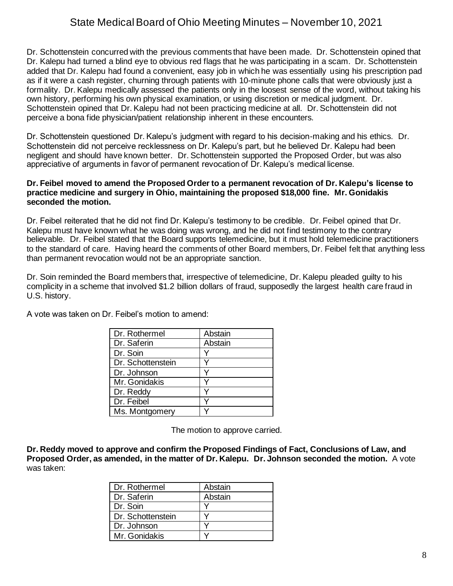Dr. Schottenstein concurred with the previous comments that have been made. Dr. Schottenstein opined that Dr. Kalepu had turned a blind eye to obvious red flags that he was participating in a scam. Dr. Schottenstein added that Dr. Kalepu had found a convenient, easy job in which he was essentially using his prescription pad as if it were a cash register, churning through patients with 10-minute phone calls that were obviously just a formality. Dr. Kalepu medically assessed the patients only in the loosest sense of the word, without taking his own history, performing his own physical examination, or using discretion or medical judgment. Dr. Schottenstein opined that Dr. Kalepu had not been practicing medicine at all. Dr. Schottenstein did not perceive a bona fide physician/patient relationship inherent in these encounters.

Dr. Schottenstein questioned Dr. Kalepu's judgment with regard to his decision-making and his ethics. Dr. Schottenstein did not perceive recklessness on Dr. Kalepu's part, but he believed Dr. Kalepu had been negligent and should have known better. Dr. Schottenstein supported the Proposed Order, but was also appreciative of arguments in favor of permanent revocation of Dr. Kalepu's medical license.

#### **Dr. Feibel moved to amend the Proposed Order to a permanent revocation of Dr. Kalepu's license to practice medicine and surgery in Ohio, maintaining the proposed \$18,000 fine. Mr. Gonidakis seconded the motion.**

Dr. Feibel reiterated that he did not find Dr. Kalepu's testimony to be credible. Dr. Feibel opined that Dr. Kalepu must have known what he was doing was wrong, and he did not find testimony to the contrary believable. Dr. Feibel stated that the Board supports telemedicine, but it must hold telemedicine practitioners to the standard of care. Having heard the comments of other Board members, Dr. Feibel felt that anything less than permanent revocation would not be an appropriate sanction.

Dr. Soin reminded the Board members that, irrespective of telemedicine, Dr. Kalepu pleaded guilty to his complicity in a scheme that involved \$1.2 billion dollars of fraud, supposedly the largest health care fraud in U.S. history.

| Dr. Rothermel     | Abstain |
|-------------------|---------|
| Dr. Saferin       | Abstain |
| Dr. Soin          |         |
| Dr. Schottenstein |         |
| Dr. Johnson       |         |
| Mr. Gonidakis     |         |
| Dr. Reddy         |         |
| Dr. Feibel        |         |
| Ms. Montgomery    |         |

A vote was taken on Dr. Feibel's motion to amend:

The motion to approve carried.

**Dr. Reddy moved to approve and confirm the Proposed Findings of Fact, Conclusions of Law, and Proposed Order, as amended, in the matter of Dr. Kalepu. Dr. Johnson seconded the motion.** A vote was taken:

| Dr. Rothermel     | Abstain |
|-------------------|---------|
| Dr. Saferin       | Abstain |
| Dr. Soin          |         |
| Dr. Schottenstein |         |
| Dr. Johnson       |         |
| Mr. Gonidakis     |         |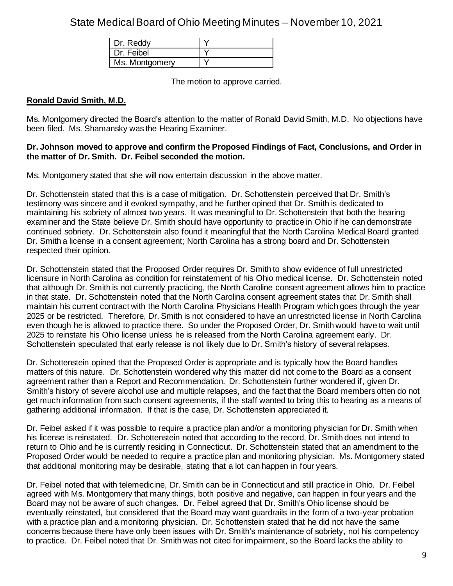| Dr. Reddy      |  |
|----------------|--|
| Dr. Feibel     |  |
| Ms. Montgomery |  |

The motion to approve carried.

### **Ronald David Smith, M.D.**

Ms. Montgomery directed the Board's attention to the matter of Ronald David Smith, M.D. No objections have been filed. Ms. Shamansky was the Hearing Examiner.

#### **Dr. Johnson moved to approve and confirm the Proposed Findings of Fact, Conclusions, and Order in the matter of Dr. Smith. Dr. Feibel seconded the motion.**

Ms. Montgomery stated that she will now entertain discussion in the above matter.

Dr. Schottenstein stated that this is a case of mitigation. Dr. Schottenstein perceived that Dr. Smith's testimony was sincere and it evoked sympathy, and he further opined that Dr. Smith is dedicated to maintaining his sobriety of almost two years. It was meaningful to Dr. Schottenstein that both the hearing examiner and the State believe Dr. Smith should have opportunity to practice in Ohio if he can demonstrate continued sobriety. Dr. Schottenstein also found it meaningful that the North Carolina Medical Board granted Dr. Smith a license in a consent agreement; North Carolina has a strong board and Dr. Schottenstein respected their opinion.

Dr. Schottenstein stated that the Proposed Order requires Dr. Smith to show evidence of full unrestricted licensure in North Carolina as condition for reinstatement of his Ohio medical license. Dr. Schottenstein noted that although Dr. Smith is not currently practicing, the North Caroline consent agreement allows him to practice in that state. Dr. Schottenstein noted that the North Carolina consent agreement states that Dr. Smith shall maintain his current contract with the North Carolina Physicians Health Program which goes through the year 2025 or be restricted. Therefore, Dr. Smith is not considered to have an unrestricted license in North Carolina even though he is allowed to practice there. So under the Proposed Order, Dr. Smith would have to wait until 2025 to reinstate his Ohio license unless he is released from the North Carolina agreement early. Dr. Schottenstein speculated that early release is not likely due to Dr. Smith's history of several relapses.

Dr. Schottenstein opined that the Proposed Order is appropriate and is typically how the Board handles matters of this nature. Dr. Schottenstein wondered why this matter did not come to the Board as a consent agreement rather than a Report and Recommendation. Dr. Schottenstein further wondered if, given Dr. Smith's history of severe alcohol use and multiple relapses, and the fact that the Board members often do not get much information from such consent agreements, if the staff wanted to bring this to hearing as a means of gathering additional information. If that is the case, Dr. Schottenstein appreciated it.

Dr. Feibel asked if it was possible to require a practice plan and/or a monitoring physician for Dr. Smith when his license is reinstated. Dr. Schottenstein noted that according to the record, Dr. Smith does not intend to return to Ohio and he is currently residing in Connecticut. Dr. Schottenstein stated that an amendment to the Proposed Order would be needed to require a practice plan and monitoring physician. Ms. Montgomery stated that additional monitoring may be desirable, stating that a lot can happen in four years.

Dr. Feibel noted that with telemedicine, Dr. Smith can be in Connecticut and still practice in Ohio. Dr. Feibel agreed with Ms. Montgomery that many things, both positive and negative, can happen in four years and the Board may not be aware of such changes. Dr. Feibel agreed that Dr. Smith's Ohio license should be eventually reinstated, but considered that the Board may want guardrails in the form of a two-year probation with a practice plan and a monitoring physician. Dr. Schottenstein stated that he did not have the same concerns because there have only been issues with Dr. Smith's maintenance of sobriety, not his competency to practice. Dr. Feibel noted that Dr. Smith was not cited for impairment, so the Board lacks the ability to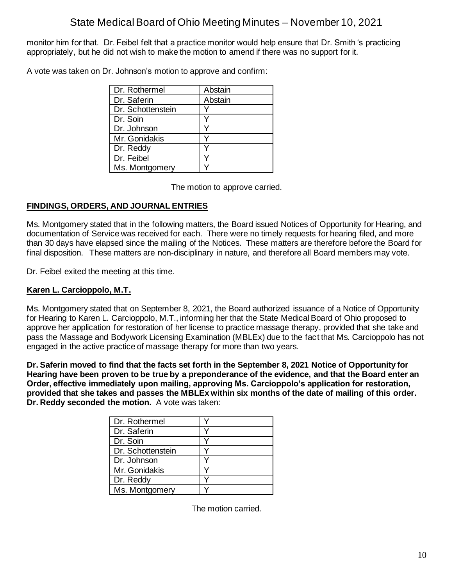monitor him for that. Dr. Feibel felt that a practice monitor would help ensure that Dr. Smith 's practicing appropriately, but he did not wish to make the motion to amend if there was no support for it.

A vote was taken on Dr. Johnson's motion to approve and confirm:

| Dr. Rothermel     | Abstain |
|-------------------|---------|
| Dr. Saferin       | Abstain |
| Dr. Schottenstein |         |
| Dr. Soin          |         |
| Dr. Johnson       |         |
| Mr. Gonidakis     |         |
| Dr. Reddy         |         |
| Dr. Feibel        |         |
| Ms. Montgomery    |         |

The motion to approve carried.

## **FINDINGS, ORDERS, AND JOURNAL ENTRIES**

Ms. Montgomery stated that in the following matters, the Board issued Notices of Opportunity for Hearing, and documentation of Service was received for each. There were no timely requests for hearing filed, and more than 30 days have elapsed since the mailing of the Notices. These matters are therefore before the Board for final disposition. These matters are non-disciplinary in nature, and therefore all Board members may vote.

Dr. Feibel exited the meeting at this time.

## **Karen L. Carcioppolo, M.T.**

Ms. Montgomery stated that on September 8, 2021, the Board authorized issuance of a Notice of Opportunity for Hearing to Karen L. Carcioppolo, M.T., informing her that the State Medical Board of Ohio proposed to approve her application for restoration of her license to practice massage therapy, provided that she take and pass the Massage and Bodywork Licensing Examination (MBLEx) due to the fact that Ms. Carcioppolo has not engaged in the active practice of massage therapy for more than two years.

**Dr. Saferin moved to find that the facts set forth in the September 8, 2021 Notice of Opportunity for Hearing have been proven to be true by a preponderance of the evidence, and that the Board enter an Order, effective immediately upon mailing, approving Ms. Carcioppolo's application for restoration, provided that she takes and passes the MBLEx within six months of the date of mailing of this order. Dr. Reddy seconded the motion.** A vote was taken:

| Dr. Rothermel     |  |
|-------------------|--|
| Dr. Saferin       |  |
| Dr. Soin          |  |
| Dr. Schottenstein |  |
| Dr. Johnson       |  |
| Mr. Gonidakis     |  |
| Dr. Reddy         |  |
| Ms. Montgomery    |  |

The motion carried.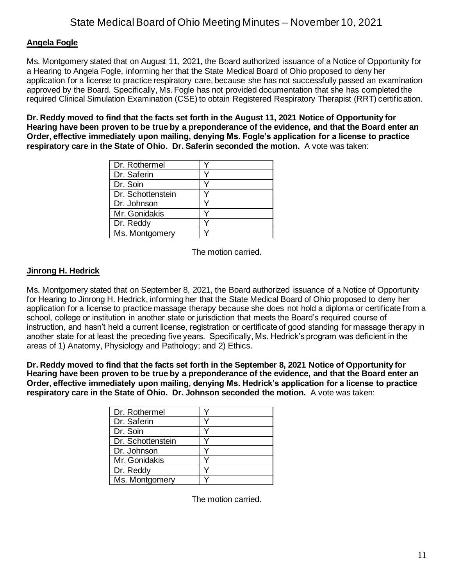### **Angela Fogle**

Ms. Montgomery stated that on August 11, 2021, the Board authorized issuance of a Notice of Opportunity for a Hearing to Angela Fogle, informing her that the State Medical Board of Ohio proposed to deny her application for a license to practice respiratory care, because she has not successfully passed an examination approved by the Board. Specifically, Ms. Fogle has not provided documentation that she has completed the required Clinical Simulation Examination (CSE) to obtain Registered Respiratory Therapist (RRT) certification.

**Dr. Reddy moved to find that the facts set forth in the August 11, 2021 Notice of Opportunity for Hearing have been proven to be true by a preponderance of the evidence, and that the Board enter an Order, effective immediately upon mailing, denying Ms. Fogle's application for a license to practice respiratory care in the State of Ohio. Dr. Saferin seconded the motion.** A vote was taken:

| Dr. Rothermel     |  |
|-------------------|--|
| Dr. Saferin       |  |
| Dr. Soin          |  |
| Dr. Schottenstein |  |
| Dr. Johnson       |  |
| Mr. Gonidakis     |  |
| Dr. Reddy         |  |
| Ms. Montgomery    |  |

The motion carried.

#### **Jinrong H. Hedrick**

Ms. Montgomery stated that on September 8, 2021, the Board authorized issuance of a Notice of Opportunity for Hearing to Jinrong H. Hedrick, informing her that the State Medical Board of Ohio proposed to deny her application for a license to practice massage therapy because she does not hold a diploma or certificate from a school, college or institution in another state or jurisdiction that meets the Board's required course of instruction, and hasn't held a current license, registration or certificate of good standing for massage therapy in another state for at least the preceding five years. Specifically, Ms. Hedrick's program was deficient in the areas of 1) Anatomy, Physiology and Pathology; and 2) Ethics.

**Dr. Reddy moved to find that the facts set forth in the September 8, 2021 Notice of Opportunity for Hearing have been proven to be true by a preponderance of the evidence, and that the Board enter an Order, effective immediately upon mailing, denying Ms. Hedrick's application for a license to practice respiratory care in the State of Ohio. Dr. Johnson seconded the motion.** A vote was taken:

| Dr. Rothermel     |  |
|-------------------|--|
| Dr. Saferin       |  |
| Dr. Soin          |  |
| Dr. Schottenstein |  |
| Dr. Johnson       |  |
| Mr. Gonidakis     |  |
| Dr. Reddy         |  |
| Ms. Montgomery    |  |

The motion carried.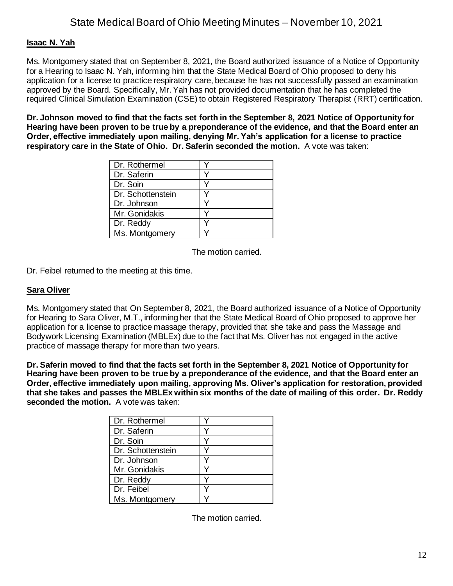#### **Isaac N. Yah**

Ms. Montgomery stated that on September 8, 2021, the Board authorized issuance of a Notice of Opportunity for a Hearing to Isaac N. Yah, informing him that the State Medical Board of Ohio proposed to deny his application for a license to practice respiratory care, because he has not successfully passed an examination approved by the Board. Specifically, Mr. Yah has not provided documentation that he has completed the required Clinical Simulation Examination (CSE) to obtain Registered Respiratory Therapist (RRT) certification.

**Dr. Johnson moved to find that the facts set forth in the September 8, 2021 Notice of Opportunity for Hearing have been proven to be true by a preponderance of the evidence, and that the Board enter an Order, effective immediately upon mailing, denying Mr. Yah's application for a license to practice respiratory care in the State of Ohio. Dr. Saferin seconded the motion.** A vote was taken:

| Dr. Rothermel     |  |
|-------------------|--|
| Dr. Saferin       |  |
| Dr. Soin          |  |
| Dr. Schottenstein |  |
| Dr. Johnson       |  |
| Mr. Gonidakis     |  |
| Dr. Reddy         |  |
| Ms. Montgomery    |  |

The motion carried.

Dr. Feibel returned to the meeting at this time.

#### **Sara Oliver**

Ms. Montgomery stated that On September 8, 2021, the Board authorized issuance of a Notice of Opportunity for Hearing to Sara Oliver, M.T., informing her that the State Medical Board of Ohio proposed to approve her application for a license to practice massage therapy, provided that she take and pass the Massage and Bodywork Licensing Examination (MBLEx) due to the fact that Ms. Oliver has not engaged in the active practice of massage therapy for more than two years.

**Dr. Saferin moved to find that the facts set forth in the September 8, 2021 Notice of Opportunity for Hearing have been proven to be true by a preponderance of the evidence, and that the Board enter an Order, effective immediately upon mailing, approving Ms. Oliver's application for restoration, provided that she takes and passes the MBLEx within six months of the date of mailing of this order. Dr. Reddy seconded the motion.** A vote was taken:

| Dr. Rothermel     |  |
|-------------------|--|
| Dr. Saferin       |  |
| Dr. Soin          |  |
| Dr. Schottenstein |  |
| Dr. Johnson       |  |
| Mr. Gonidakis     |  |
| Dr. Reddy         |  |
| Dr. Feibel        |  |
| Ms. Montgomery    |  |

The motion carried.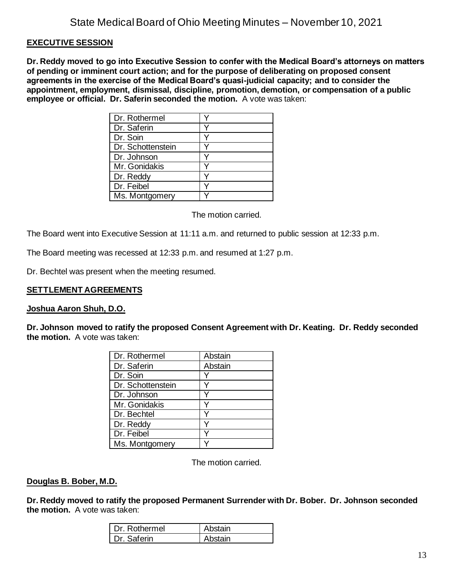#### **EXECUTIVE SESSION**

**Dr. Reddy moved to go into Executive Session to confer with the Medical Board's attorneys on matters of pending or imminent court action; and for the purpose of deliberating on proposed consent agreements in the exercise of the Medical Board's quasi-judicial capacity; and to consider the appointment, employment, dismissal, discipline, promotion, demotion, or compensation of a public employee or official. Dr. Saferin seconded the motion.** A vote was taken:

| Dr. Rothermel     |  |
|-------------------|--|
| Dr. Saferin       |  |
| Dr. Soin          |  |
| Dr. Schottenstein |  |
| Dr. Johnson       |  |
| Mr. Gonidakis     |  |
| Dr. Reddy         |  |
| Dr. Feibel        |  |
| Ms. Montgomery    |  |

The motion carried.

The Board went into Executive Session at 11:11 a.m. and returned to public session at 12:33 p.m.

The Board meeting was recessed at 12:33 p.m. and resumed at 1:27 p.m.

Dr. Bechtel was present when the meeting resumed.

#### **SETTLEMENT AGREEMENTS**

#### **Joshua Aaron Shuh, D.O.**

**Dr. Johnson moved to ratify the proposed Consent Agreement with Dr. Keating. Dr. Reddy seconded the motion.** A vote was taken:

| Dr. Rothermel     | Abstain |
|-------------------|---------|
| Dr. Saferin       | Abstain |
| Dr. Soin          |         |
| Dr. Schottenstein |         |
| Dr. Johnson       |         |
| Mr. Gonidakis     |         |
| Dr. Bechtel       |         |
| Dr. Reddy         |         |
| Dr. Feibel        |         |
| Ms. Montgomery    |         |

The motion carried.

#### **Douglas B. Bober, M.D.**

**Dr. Reddy moved to ratify the proposed Permanent Surrender with Dr. Bober. Dr. Johnson seconded the motion.** A vote was taken:

| Dr. Rothermel | Abstain |
|---------------|---------|
| Dr. Saferin   | Abstain |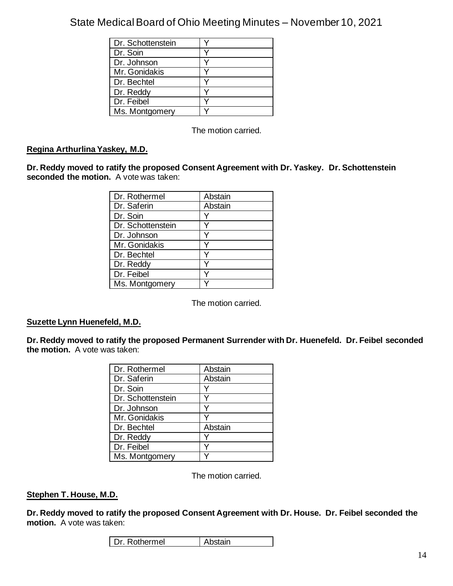| Dr. Schottenstein |  |
|-------------------|--|
| Dr. Soin          |  |
| Dr. Johnson       |  |
| Mr. Gonidakis     |  |
| Dr. Bechtel       |  |
| Dr. Reddy         |  |
| Dr. Feibel        |  |
| Ms. Montgomery    |  |

The motion carried.

### **Regina Arthurlina Yaskey, M.D.**

**Dr. Reddy moved to ratify the proposed Consent Agreement with Dr. Yaskey. Dr. Schottenstein seconded the motion.** A vote was taken:

| Dr. Rothermel     | Abstain |
|-------------------|---------|
| Dr. Saferin       | Abstain |
| Dr. Soin          |         |
| Dr. Schottenstein |         |
| Dr. Johnson       |         |
| Mr. Gonidakis     |         |
| Dr. Bechtel       |         |
| Dr. Reddy         |         |
| Dr. Feibel        |         |
| Ms. Montgomery    |         |

The motion carried.

#### **Suzette Lynn Huenefeld, M.D.**

**Dr. Reddy moved to ratify the proposed Permanent Surrender with Dr. Huenefeld. Dr. Feibel seconded the motion.** A vote was taken:

| Dr. Rothermel     | Abstain |
|-------------------|---------|
| Dr. Saferin       | Abstain |
| Dr. Soin          |         |
| Dr. Schottenstein |         |
| Dr. Johnson       |         |
| Mr. Gonidakis     |         |
| Dr. Bechtel       | Abstain |
| Dr. Reddy         |         |
| Dr. Feibel        |         |
| Ms. Montgomery    |         |

The motion carried.

#### **Stephen T. House, M.D.**

**Dr. Reddy moved to ratify the proposed Consent Agreement with Dr. House. Dr. Feibel seconded the motion.** A vote was taken:

| Dr. Rothermel | Abstain |
|---------------|---------|
|---------------|---------|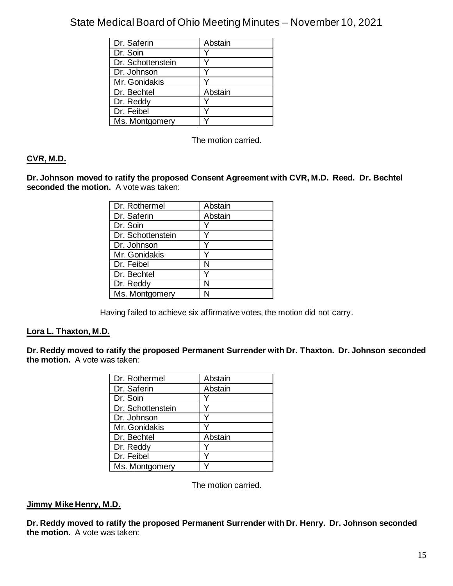| Dr. Saferin       | Abstain |
|-------------------|---------|
| Dr. Soin          |         |
| Dr. Schottenstein |         |
| Dr. Johnson       |         |
| Mr. Gonidakis     |         |
| Dr. Bechtel       | Abstain |
| Dr. Reddy         |         |
| Dr. Feibel        |         |
| Ms. Montgomery    |         |

The motion carried.

## **CVR, M.D.**

**Dr. Johnson moved to ratify the proposed Consent Agreement with CVR, M.D. Reed. Dr. Bechtel seconded the motion.** A vote was taken:

| Dr. Rothermel     | Abstain |
|-------------------|---------|
| Dr. Saferin       | Abstain |
| Dr. Soin          |         |
| Dr. Schottenstein |         |
| Dr. Johnson       |         |
| Mr. Gonidakis     |         |
| Dr. Feibel        | N       |
| Dr. Bechtel       |         |
| Dr. Reddy         | N       |
| Ms. Montgomery    |         |

Having failed to achieve six affirmative votes, the motion did not carry.

#### **Lora L. Thaxton, M.D.**

**Dr. Reddy moved to ratify the proposed Permanent Surrender with Dr. Thaxton. Dr. Johnson seconded the motion.** A vote was taken:

| Dr. Rothermel     | Abstain |
|-------------------|---------|
| Dr. Saferin       | Abstain |
| Dr. Soin          |         |
| Dr. Schottenstein |         |
| Dr. Johnson       |         |
| Mr. Gonidakis     |         |
| Dr. Bechtel       | Abstain |
| Dr. Reddy         |         |
| Dr. Feibel        |         |
| Ms. Montgomery    |         |

The motion carried.

#### **Jimmy Mike Henry, M.D.**

**Dr. Reddy moved to ratify the proposed Permanent Surrender with Dr. Henry. Dr. Johnson seconded the motion.** A vote was taken: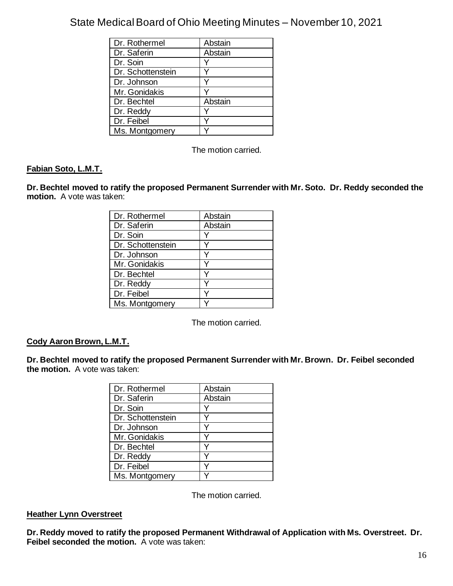| Dr. Rothermel     | Abstain |
|-------------------|---------|
| Dr. Saferin       | Abstain |
| Dr. Soin          |         |
| Dr. Schottenstein |         |
| Dr. Johnson       |         |
| Mr. Gonidakis     |         |
| Dr. Bechtel       | Abstain |
| Dr. Reddy         |         |
| Dr. Feibel        |         |
| Ms. Montgomery    |         |

The motion carried.

### **Fabian Soto, L.M.T.**

**Dr. Bechtel moved to ratify the proposed Permanent Surrender with Mr. Soto. Dr. Reddy seconded the motion.** A vote was taken:

| Dr. Rothermel     | Abstain |
|-------------------|---------|
| Dr. Saferin       | Abstain |
| Dr. Soin          | Y       |
| Dr. Schottenstein |         |
| Dr. Johnson       |         |
| Mr. Gonidakis     |         |
| Dr. Bechtel       |         |
| Dr. Reddy         |         |
| Dr. Feibel        |         |
| Ms. Montgomery    |         |

The motion carried.

### **Cody Aaron Brown, L.M.T.**

**Dr. Bechtel moved to ratify the proposed Permanent Surrender with Mr. Brown. Dr. Feibel seconded the motion.** A vote was taken:

| Dr. Rothermel     | Abstain |
|-------------------|---------|
| Dr. Saferin       | Abstain |
| Dr. Soin          |         |
| Dr. Schottenstein |         |
| Dr. Johnson       |         |
| Mr. Gonidakis     |         |
| Dr. Bechtel       |         |
| Dr. Reddy         |         |
| Dr. Feibel        |         |
| Ms. Montgomery    |         |

The motion carried.

#### **Heather Lynn Overstreet**

**Dr. Reddy moved to ratify the proposed Permanent Withdrawal of Application with Ms. Overstreet. Dr. Feibel seconded the motion.** A vote was taken: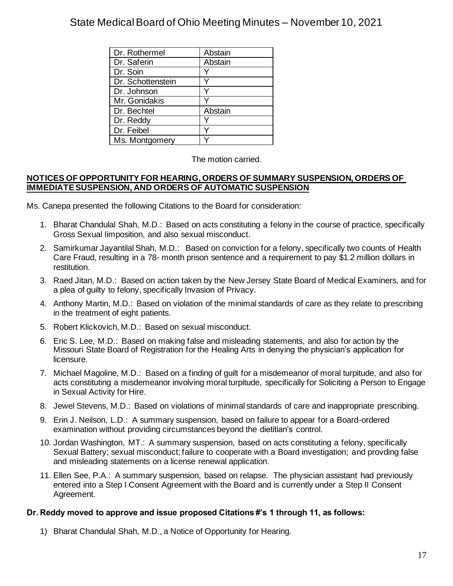| Dr. Rothermel     | Abstain |
|-------------------|---------|
| Dr. Saferin       | Abstain |
| Dr. Soin          |         |
| Dr. Schottenstein |         |
| Dr. Johnson       |         |
| Mr. Gonidakis     |         |
| Dr. Bechtel       | Abstain |
| Dr. Reddy         |         |
| Dr. Feibel        |         |
| Ms. Montgomery    |         |

The motion carried.

#### **NOTICES OF OPPORTUNITY FOR HEARING, ORDERS OF SUMMARY SUSPENSION, ORDERS OF IMMEDIATE SUSPENSION, AND ORDERS OF AUTOMATIC SUSPENSION**

Ms. Canepa presented the following Citations to the Board for consideration:

- 1. Bharat Chandulal Shah, M.D.: Based on acts constituting a felony in the course of practice, specifically Gross Sexual Iimposition, and also sexual misconduct.
- 2. Samirkumar Jayantilal Shah, M.D.: Based on conviction for a felony, specifically two counts of Health Care Fraud, resulting in a 78- month prison sentence and a requirement to pay \$1.2 million dollars in restitution.
- 3. Raed Jitan, M.D.: Based on action taken by the New Jersey State Board of Medical Examiners, and for a plea of guilty to felony, specifically Invasion of Privacy.
- 4. Anthony Martin, M.D.: Based on violation of the minimal standards of care as they relate to prescribing in the treatment of eight patients.
- 5. Robert Klickovich, M.D.: Based on sexual misconduct.
- 6. Eric S. Lee, M.D.: Based on making false and misleading statements, and also for action by the Missouri State Board of Registration for the Healing Arts in denying the physician's application for licensure.
- 7. Michael Magoline, M.D.: Based on a finding of guilt for a misdemeanor of moral turpitude, and also for acts constituting a misdemeanor involving moral turpitude, specifically for Soliciting a Person to Engage in Sexual Activity for Hire.
- 8. Jewel Stevens, M.D.: Based on violations of minimal standards of care and inappropriate prescribing.
- 9. Erin J. Neilson, L.D.: A summary suspension, based on failure to appear for a Board-ordered examination without providing circumstances beyond the dietitian's control.
- 10. Jordan Washington, MT.: A summary suspension, based on acts constituting a felony, specifically Sexual Battery; sexual misconduct; failure to cooperate with a Board investigation; and provding false and misleading statements on a license renewal application.
- 11. Ellen See, P.A.: A summary suspension, based on relapse. The physician assistant had previously entered into a Step I Consent Agreement with the Board and is currently under a Step II Consent Agreement.

### **Dr. Reddy moved to approve and issue proposed Citations #'s 1 through 11, as follows:**

1) Bharat Chandulal Shah, M.D., a Notice of Opportunity for Hearing.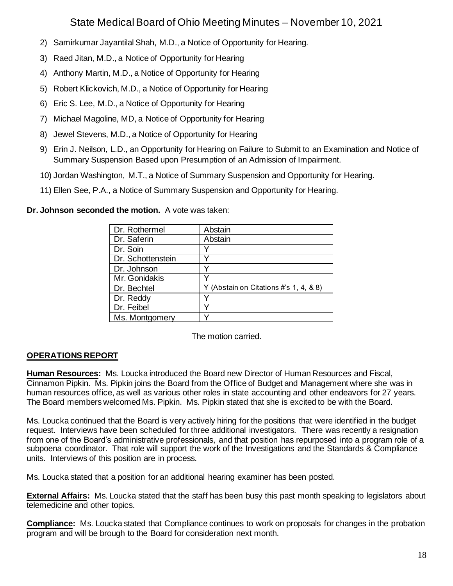- 2) Samirkumar Jayantilal Shah, M.D., a Notice of Opportunity for Hearing.
- 3) Raed Jitan, M.D., a Notice of Opportunity for Hearing
- 4) Anthony Martin, M.D., a Notice of Opportunity for Hearing
- 5) Robert Klickovich, M.D., a Notice of Opportunity for Hearing
- 6) Eric S. Lee, M.D., a Notice of Opportunity for Hearing
- 7) Michael Magoline, MD, a Notice of Opportunity for Hearing
- 8) Jewel Stevens, M.D., a Notice of Opportunity for Hearing
- 9) Erin J. Neilson, L.D., an Opportunity for Hearing on Failure to Submit to an Examination and Notice of Summary Suspension Based upon Presumption of an Admission of Impairment.
- 10) Jordan Washington, M.T., a Notice of Summary Suspension and Opportunity for Hearing.
- 11) Ellen See, P.A., a Notice of Summary Suspension and Opportunity for Hearing.

**Dr. Johnson seconded the motion.** A vote was taken:

| Dr. Rothermel     | Abstain                                |
|-------------------|----------------------------------------|
| Dr. Saferin       | Abstain                                |
| Dr. Soin          |                                        |
| Dr. Schottenstein |                                        |
| Dr. Johnson       |                                        |
| Mr. Gonidakis     |                                        |
| Dr. Bechtel       | Y (Abstain on Citations #'s 1, 4, & 8) |
| Dr. Reddy         |                                        |
| Dr. Feibel        |                                        |
| Ms. Montgomery    |                                        |

The motion carried.

## **OPERATIONS REPORT**

**Human Resources:** Ms. Loucka introduced the Board new Director of Human Resources and Fiscal, Cinnamon Pipkin. Ms. Pipkin joins the Board from the Office of Budget and Management where she was in human resources office, as well as various other roles in state accounting and other endeavors for 27 years. The Board members welcomed Ms. Pipkin. Ms. Pipkin stated that she is excited to be with the Board.

Ms. Loucka continued that the Board is very actively hiring for the positions that were identified in the budget request. Interviews have been scheduled for three additional investigators. There was recently a resignation from one of the Board's administrative professionals, and that position has repurposed into a program role of a subpoena coordinator. That role will support the work of the Investigations and the Standards & Compliance units. Interviews of this position are in process.

Ms. Loucka stated that a position for an additional hearing examiner has been posted.

**External Affairs:** Ms. Loucka stated that the staff has been busy this past month speaking to legislators about telemedicine and other topics.

**Compliance:** Ms. Loucka stated that Compliance continues to work on proposals for changes in the probation program and will be brough to the Board for consideration next month.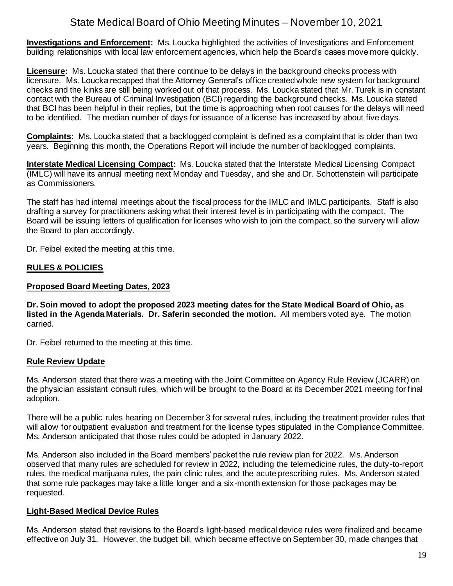**Investigations and Enforcement:** Ms. Loucka highlighted the activities of Investigations and Enforcement building relationships with local law enforcement agencies, which help the Board's cases move more quickly.

**Licensure:** Ms. Loucka stated that there continue to be delays in the background checks process with licensure. Ms. Loucka recapped that the Attorney General's office created whole new system for background checks and the kinks are still being worked out of that process. Ms. Loucka stated that Mr. Turek is in constant contact with the Bureau of Criminal Investigation (BCI) regarding the background checks. Ms. Loucka stated that BCI has been helpful in their replies, but the time is approaching when root causes for the delays will need to be identified. The median number of days for issuance of a license has increased by about five days.

**Complaints:** Ms. Loucka stated that a backlogged complaint is defined as a complaint that is older than two years. Beginning this month, the Operations Report will include the number of backlogged complaints.

**Interstate Medical Licensing Compact:** Ms. Loucka stated that the Interstate Medical Licensing Compact (IMLC) will have its annual meeting next Monday and Tuesday, and she and Dr. Schottenstein will participate as Commissioners.

The staff has had internal meetings about the fiscal process for the IMLC and IMLC participants. Staff is also drafting a survey for practitioners asking what their interest level is in participating with the compact. The Board will be issuing letters of qualification for licenses who wish to join the compact, so the survery will allow the Board to plan accordingly.

Dr. Feibel exited the meeting at this time.

### **RULES & POLICIES**

#### **Proposed Board Meeting Dates, 2023**

**Dr. Soin moved to adopt the proposed 2023 meeting dates for the State Medical Board of Ohio, as listed in the Agenda Materials. Dr. Saferin seconded the motion.** All members voted aye. The motion carried.

Dr. Feibel returned to the meeting at this time.

#### **Rule Review Update**

Ms. Anderson stated that there was a meeting with the Joint Committee on Agency Rule Review (JCARR) on the physician assistant consult rules, which will be brought to the Board at its December 2021 meeting for final adoption.

There will be a public rules hearing on December 3 for several rules, including the treatment provider rules that will allow for outpatient evaluation and treatment for the license types stipulated in the Compliance Committee. Ms. Anderson anticipated that those rules could be adopted in January 2022.

Ms. Anderson also included in the Board members' packet the rule review plan for 2022. Ms. Anderson observed that many rules are scheduled for review in 2022, including the telemedicine rules, the duty-to-report rules, the medical marijuana rules, the pain clinic rules, and the acute prescribing rules. Ms. Anderson stated that some rule packages may take a little longer and a six-month extension for those packages may be requested.

### **Light-Based Medical Device Rules**

Ms. Anderson stated that revisions to the Board's light-based medical device rules were finalized and became effective on July 31. However, the budget bill, which became effective on September 30, made changes that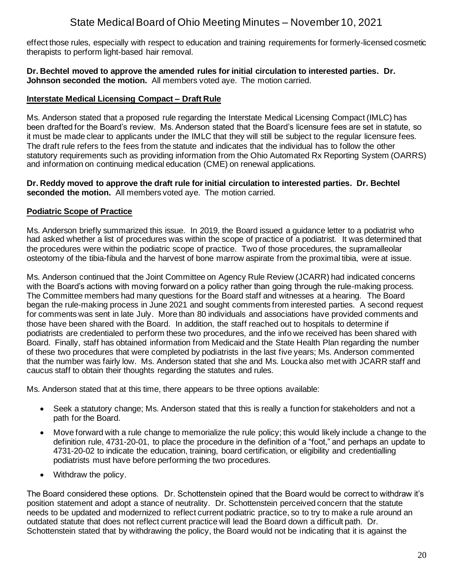effect those rules, especially with respect to education and training requirements for formerly-licensed cosmetic therapists to perform light-based hair removal.

#### **Dr. Bechtel moved to approve the amended rules for initial circulation to interested parties. Dr. Johnson seconded the motion.** All members voted aye. The motion carried.

#### **Interstate Medical Licensing Compact – Draft Rule**

Ms. Anderson stated that a proposed rule regarding the Interstate Medical Licensing Compact (IMLC) has been drafted for the Board's review. Ms. Anderson stated that the Board's licensure fees are set in statute, so it must be made clear to applicants under the IMLC that they will still be subject to the regular licensure fees. The draft rule refers to the fees from the statute and indicates that the individual has to follow the other statutory requirements such as providing information from the Ohio Automated Rx Reporting System (OARRS) and information on continuing medical education (CME) on renewal applications.

#### **Dr. Reddy moved to approve the draft rule for initial circulation to interested parties. Dr. Bechtel seconded the motion.** All members voted aye. The motion carried.

### **Podiatric Scope of Practice**

Ms. Anderson briefly summarized this issue. In 2019, the Board issued a guidance letter to a podiatrist who had asked whether a list of procedures was within the scope of practice of a podiatrist. It was determined that the procedures were within the podiatric scope of practice. Two of those procedures, the supramalleolar osteotomy of the tibia-fibula and the harvest of bone marrow aspirate from the proximal tibia, were at issue.

Ms. Anderson continued that the Joint Committee on Agency Rule Review (JCARR) had indicated concerns with the Board's actions with moving forward on a policy rather than going through the rule-making process. The Committee members had many questions for the Board staff and witnesses at a hearing. The Board began the rule-making process in June 2021 and sought comments from interested parties. A second request for comments was sent in late July. More than 80 individuals and associations have provided comments and those have been shared with the Board. In addition, the staff reached out to hospitals to determine if podiatrists are credentialed to perform these two procedures, and the info we received has been shared with Board. Finally, staff has obtained information from Medicaid and the State Health Plan regarding the number of these two procedures that were completed by podiatrists in the last five years; Ms. Anderson commented that the number was fairly low. Ms. Anderson stated that she and Ms. Loucka also met with JCARR staff and caucus staff to obtain their thoughts regarding the statutes and rules.

Ms. Anderson stated that at this time, there appears to be three options available:

- Seek a statutory change; Ms. Anderson stated that this is really a function for stakeholders and not a path for the Board.
- Move forward with a rule change to memorialize the rule policy; this would likely include a change to the definition rule, 4731-20-01, to place the procedure in the definition of a "foot," and perhaps an update to 4731-20-02 to indicate the education, training, board certification, or eligibility and credentialling podiatrists must have before performing the two procedures.
- Withdraw the policy.

The Board considered these options. Dr. Schottenstein opined that the Board would be correct to withdraw it's position statement and adopt a stance of neutrality. Dr. Schottenstein perceived concern that the statute needs to be updated and modernized to reflect current podiatric practice, so to try to make a rule around an outdated statute that does not reflect current practice will lead the Board down a difficult path. Dr. Schottenstein stated that by withdrawing the policy, the Board would not be indicating that it is against the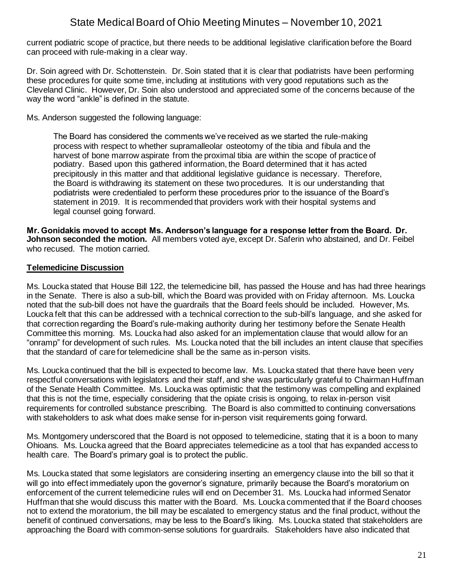current podiatric scope of practice, but there needs to be additional legislative clarification before the Board can proceed with rule-making in a clear way.

Dr. Soin agreed with Dr. Schottenstein. Dr. Soin stated that it is clear that podiatrists have been performing these procedures for quite some time, including at institutions with very good reputations such as the Cleveland Clinic. However, Dr. Soin also understood and appreciated some of the concerns because of the way the word "ankle" is defined in the statute.

Ms. Anderson suggested the following language:

The Board has considered the comments we've received as we started the rule-making process with respect to whether supramalleolar osteotomy of the tibia and fibula and the harvest of bone marrow aspirate from the proximal tibia are within the scope of practice of podiatry. Based upon this gathered information, the Board determined that it has acted precipitously in this matter and that additional legislative guidance is necessary. Therefore, the Board is withdrawing its statement on these two procedures. It is our understanding that podiatrists were credentialed to perform these procedures prior to the issuance of the Board's statement in 2019. It is recommended that providers work with their hospital systems and legal counsel going forward.

**Mr. Gonidakis moved to accept Ms. Anderson's language for a response letter from the Board. Dr. Johnson seconded the motion.** All members voted aye, except Dr. Saferin who abstained, and Dr. Feibel who recused. The motion carried.

#### **Telemedicine Discussion**

Ms. Loucka stated that House Bill 122, the telemedicine bill, has passed the House and has had three hearings in the Senate. There is also a sub-bill, which the Board was provided with on Friday afternoon. Ms. Loucka noted that the sub-bill does not have the guardrails that the Board feels should be included. However, Ms. Loucka felt that this can be addressed with a technical correction to the sub-bill's language, and she asked for that correction regarding the Board's rule-making authority during her testimony before the Senate Health Committee this morning. Ms. Loucka had also asked for an implementation clause that would allow for an "onramp" for development of such rules. Ms. Loucka noted that the bill includes an intent clause that specifies that the standard of care for telemedicine shall be the same as in-person visits.

Ms. Loucka continued that the bill is expected to become law. Ms. Loucka stated that there have been very respectful conversations with legislators and their staff, and she was particularly grateful to Chairman Huffman of the Senate Health Committee. Ms. Loucka was optimistic that the testimony was compelling and explained that this is not the time, especially considering that the opiate crisis is ongoing, to relax in-person visit requirements for controlled substance prescribing. The Board is also committed to continuing conversations with stakeholders to ask what does make sense for in-person visit requirements going forward.

Ms. Montgomery underscored that the Board is not opposed to telemedicine, stating that it is a boon to many Ohioans. Ms. Loucka agreed that the Board appreciates telemedicine as a tool that has expanded access to health care. The Board's primary goal is to protect the public.

Ms. Loucka stated that some legislators are considering inserting an emergency clause into the bill so that it will go into effect immediately upon the governor's signature, primarily because the Board's moratorium on enforcement of the current telemedicine rules will end on December 31. Ms. Loucka had informed Senator Huffman that she would discuss this matter with the Board. Ms. Loucka commented that if the Board chooses not to extend the moratorium, the bill may be escalated to emergency status and the final product, without the benefit of continued conversations, may be less to the Board's liking. Ms. Loucka stated that stakeholders are approaching the Board with common-sense solutions for guardrails. Stakeholders have also indicated that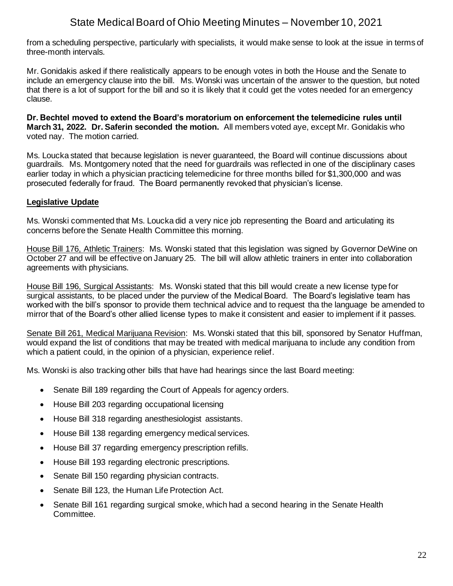from a scheduling perspective, particularly with specialists, it would make sense to look at the issue in terms of three-month intervals.

Mr. Gonidakis asked if there realistically appears to be enough votes in both the House and the Senate to include an emergency clause into the bill. Ms. Wonski was uncertain of the answer to the question, but noted that there is a lot of support for the bill and so it is likely that it could get the votes needed for an emergency clause.

**Dr. Bechtel moved to extend the Board's moratorium on enforcement the telemedicine rules until March 31, 2022. Dr. Saferin seconded the motion.** All members voted aye, except Mr. Gonidakis who voted nay. The motion carried.

Ms. Loucka stated that because legislation is never guaranteed, the Board will continue discussions about guardrails. Ms. Montgomery noted that the need for guardrails was reflected in one of the disciplinary cases earlier today in which a physician practicing telemedicine for three months billed for \$1,300,000 and was prosecuted federally for fraud. The Board permanently revoked that physician's license.

### **Legislative Update**

Ms. Wonski commented that Ms. Loucka did a very nice job representing the Board and articulating its concerns before the Senate Health Committee this morning.

House Bill 176, Athletic Trainers: Ms. Wonski stated that this legislation was signed by Governor DeWine on October 27 and will be effective on January 25. The bill will allow athletic trainers in enter into collaboration agreements with physicians.

House Bill 196, Surgical Assistants: Ms. Wonski stated that this bill would create a new license type for surgical assistants, to be placed under the purview of the Medical Board. The Board's legislative team has worked with the bill's sponsor to provide them technical advice and to request tha the language be amended to mirror that of the Board's other allied license types to make it consistent and easier to implement if it passes.

Senate Bill 261, Medical Marijuana Revision: Ms. Wonski stated that this bill, sponsored by Senator Huffman, would expand the list of conditions that may be treated with medical marijuana to include any condition from which a patient could, in the opinion of a physician, experience relief.

Ms. Wonski is also tracking other bills that have had hearings since the last Board meeting:

- Senate Bill 189 regarding the Court of Appeals for agency orders.
- House Bill 203 regarding occupational licensing
- House Bill 318 regarding anesthesiologist assistants.
- House Bill 138 regarding emergency medical services.
- House Bill 37 regarding emergency prescription refills.
- House Bill 193 regarding electronic prescriptions.
- Senate Bill 150 regarding physician contracts.
- Senate Bill 123, the Human Life Protection Act.
- Senate Bill 161 regarding surgical smoke, which had a second hearing in the Senate Health Committee.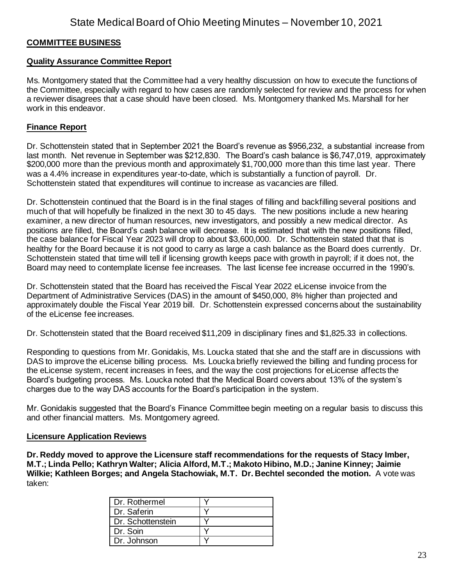#### **COMMITTEE BUSINESS**

#### **Quality Assurance Committee Report**

Ms. Montgomery stated that the Committee had a very healthy discussion on how to execute the functions of the Committee, especially with regard to how cases are randomly selected for review and the process for when a reviewer disagrees that a case should have been closed. Ms. Montgomery thanked Ms. Marshall for her work in this endeavor.

#### **Finance Report**

Dr. Schottenstein stated that in September 2021 the Board's revenue as \$956,232, a substantial increase from last month. Net revenue in September was \$212,830. The Board's cash balance is \$6,747,019, approximately \$200,000 more than the previous month and approximately \$1,700,000 more than this time last year. There was a 4.4% increase in expenditures year-to-date, which is substantially a function of payroll. Dr. Schottenstein stated that expenditures will continue to increase as vacancies are filled.

Dr. Schottenstein continued that the Board is in the final stages of filling and backfilling several positions and much of that will hopefully be finalized in the next 30 to 45 days. The new positions include a new hearing examiner, a new director of human resources, new investigators, and possibly a new medical director. As positions are filled, the Board's cash balance will decrease. It is estimated that with the new positions filled, the case balance for Fiscal Year 2023 will drop to about \$3,600,000. Dr. Schottenstein stated that that is healthy for the Board because it is not good to carry as large a cash balance as the Board does currently. Dr. Schottenstein stated that time will tell if licensing growth keeps pace with growth in payroll; if it does not, the Board may need to contemplate license fee increases. The last license fee increase occurred in the 1990's.

Dr. Schottenstein stated that the Board has received the Fiscal Year 2022 eLicense invoice from the Department of Administrative Services (DAS) in the amount of \$450,000, 8% higher than projected and approximately double the Fiscal Year 2019 bill. Dr. Schottenstein expressed concerns about the sustainability of the eLicense fee increases.

Dr. Schottenstein stated that the Board received \$11,209 in disciplinary fines and \$1,825.33 in collections.

Responding to questions from Mr. Gonidakis, Ms. Loucka stated that she and the staff are in discussions with DAS to improve the eLicense billing process. Ms. Loucka briefly reviewed the billing and funding process for the eLicense system, recent increases in fees, and the way the cost projections for eLicense affects the Board's budgeting process. Ms. Loucka noted that the Medical Board covers about 13% of the system's charges due to the way DAS accounts for the Board's participation in the system.

Mr. Gonidakis suggested that the Board's Finance Committee begin meeting on a regular basis to discuss this and other financial matters. Ms. Montgomery agreed.

#### **Licensure Application Reviews**

**Dr. Reddy moved to approve the Licensure staff recommendations for the requests of Stacy Imber, M.T.; Linda Pello; Kathryn Walter; Alicia Alford, M.T.; Makoto Hibino, M.D.; Janine Kinney; Jaimie Wilkie; Kathleen Borges; and Angela Stachowiak, M.T. Dr. Bechtel seconded the motion.** A vote was taken:

| Dr. Rothermel     |  |
|-------------------|--|
| Dr. Saferin       |  |
| Dr. Schottenstein |  |
| Dr. Soin          |  |
| Dr. Johnson       |  |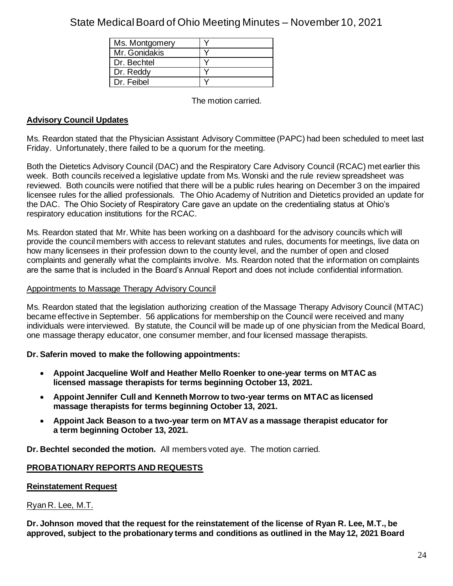| Ms. Montgomery |  |
|----------------|--|
| Mr. Gonidakis  |  |
| Dr. Bechtel    |  |
| Dr. Reddy      |  |
| Dr. Feibel     |  |

The motion carried.

### **Advisory Council Updates**

Ms. Reardon stated that the Physician Assistant Advisory Committee (PAPC) had been scheduled to meet last Friday. Unfortunately, there failed to be a quorum for the meeting.

Both the Dietetics Advisory Council (DAC) and the Respiratory Care Advisory Council (RCAC) met earlier this week. Both councils received a legislative update from Ms. Wonski and the rule review spreadsheet was reviewed. Both councils were notified that there will be a public rules hearing on December 3 on the impaired licensee rules for the allied professionals. The Ohio Academy of Nutrition and Dietetics provided an update for the DAC. The Ohio Society of Respiratory Care gave an update on the credentialing status at Ohio's respiratory education institutions for the RCAC.

Ms. Reardon stated that Mr. White has been working on a dashboard for the advisory councils which will provide the council members with access to relevant statutes and rules, documents for meetings, live data on how many licensees in their profession down to the county level, and the number of open and closed complaints and generally what the complaints involve. Ms. Reardon noted that the information on complaints are the same that is included in the Board's Annual Report and does not include confidential information.

#### Appointments to Massage Therapy Advisory Council

Ms. Reardon stated that the legislation authorizing creation of the Massage Therapy Advisory Council (MTAC) became effective in September. 56 applications for membership on the Council were received and many individuals were interviewed. By statute, the Council will be made up of one physician from the Medical Board, one massage therapy educator, one consumer member, and four licensed massage therapists.

### **Dr. Saferin moved to make the following appointments:**

- **Appoint Jacqueline Wolf and Heather Mello Roenker to one-year terms on MTAC as licensed massage therapists for terms beginning October 13, 2021.**
- **Appoint Jennifer Cull and Kenneth Morrow to two-year terms on MTAC as licensed massage therapists for terms beginning October 13, 2021.**
- **Appoint Jack Beason to a two-year term on MTAV as a massage therapist educator for a term beginning October 13, 2021.**

**Dr. Bechtel seconded the motion.** All members voted aye. The motion carried.

### **PROBATIONARY REPORTS AND REQUESTS**

#### **Reinstatement Request**

Ryan R. Lee, M.T.

**Dr. Johnson moved that the request for the reinstatement of the license of Ryan R. Lee, M.T., be approved, subject to the probationary terms and conditions as outlined in the May 12, 2021 Board**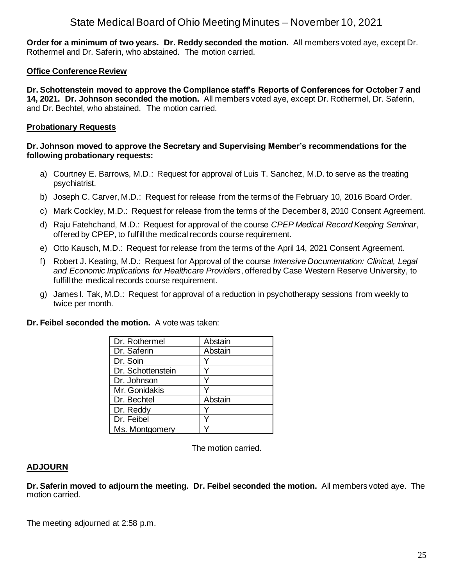**Order for a minimum of two years. Dr. Reddy seconded the motion.** All members voted aye, except Dr. Rothermel and Dr. Saferin, who abstained. The motion carried.

#### **Office Conference Review**

**Dr. Schottenstein moved to approve the Compliance staff's Reports of Conferences for October 7 and 14, 2021. Dr. Johnson seconded the motion.** All members voted aye, except Dr. Rothermel, Dr. Saferin, and Dr. Bechtel, who abstained. The motion carried.

#### **Probationary Requests**

#### **Dr. Johnson moved to approve the Secretary and Supervising Member's recommendations for the following probationary requests:**

- a) Courtney E. Barrows, M.D.: Request for approval of Luis T. Sanchez, M.D. to serve as the treating psychiatrist.
- b) Joseph C. Carver, M.D.: Request for release from the terms of the February 10, 2016 Board Order.
- c) Mark Cockley, M.D.: Request for release from the terms of the December 8, 2010 Consent Agreement.
- d) Raju Fatehchand, M.D.: Request for approval of the course *CPEP Medical Record Keeping Seminar*, offered by CPEP, to fulfill the medical records course requirement.
- e) Otto Kausch, M.D.: Request for release from the terms of the April 14, 2021 Consent Agreement.
- f) Robert J. Keating, M.D.: Request for Approval of the course *Intensive Documentation: Clinical, Legal and Economic Implications for Healthcare Providers*, offered by Case Western Reserve University, to fulfill the medical records course requirement.
- g) James I. Tak, M.D.: Request for approval of a reduction in psychotherapy sessions from weekly to twice per month.

**Dr. Feibel seconded the motion.** A vote was taken:

| Dr. Rothermel     | Abstain |
|-------------------|---------|
| Dr. Saferin       | Abstain |
| Dr. Soin          |         |
| Dr. Schottenstein |         |
| Dr. Johnson       |         |
| Mr. Gonidakis     |         |
| Dr. Bechtel       | Abstain |
| Dr. Reddy         |         |
| Dr. Feibel        |         |
| Ms. Montgomery    |         |

The motion carried.

#### **ADJOURN**

**Dr. Saferin moved to adjourn the meeting. Dr. Feibel seconded the motion.** All members voted aye. The motion carried.

The meeting adjourned at 2:58 p.m.